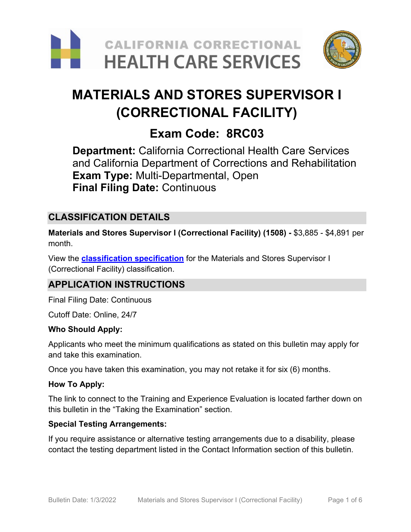



# **MATERIALS AND STORES SUPERVISOR I (CORRECTIONAL FACILITY)**

## **Exam Code: 8RC03**

**Department:** California Correctional Health Care Services and California Department of Corrections and Rehabilitation **Exam Type:** Multi-Departmental, Open **Final Filing Date:** Continuous

## **CLASSIFICATION DETAILS**

**Materials and Stores Supervisor I (Correctional Facility) (1508) -** \$3,885 - \$4,891 per month.

View the **[classification specification](https://www.calhr.ca.gov/state-hr-professionals/pages/1508.aspx)** for the Materials and Stores Supervisor I (Correctional Facility) classification.

## **APPLICATION INSTRUCTIONS**

Final Filing Date: Continuous

Cutoff Date: Online, 24/7

#### **Who Should Apply:**

Applicants who meet the minimum qualifications as stated on this bulletin may apply for and take this examination.

Once you have taken this examination, you may not retake it for six (6) months.

#### **How To Apply:**

The link to connect to the Training and Experience Evaluation is located farther down on this bulletin in the "Taking the Examination" section.

#### **Special Testing Arrangements:**

If you require assistance or alternative testing arrangements due to a disability, please contact the testing department listed in the Contact Information section of this bulletin.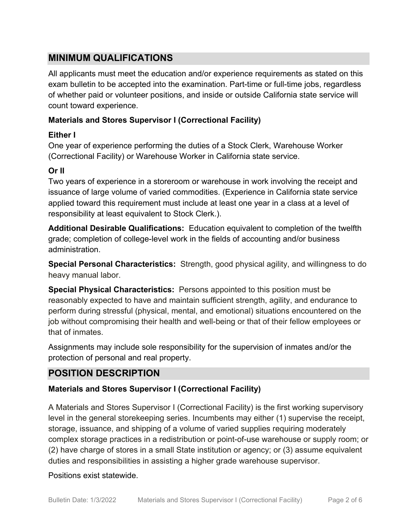## **MINIMUM QUALIFICATIONS**

All applicants must meet the education and/or experience requirements as stated on this exam bulletin to be accepted into the examination. Part-time or full-time jobs, regardless of whether paid or volunteer positions, and inside or outside California state service will count toward experience.

#### **Materials and Stores Supervisor I (Correctional Facility)**

#### **Either I**

One year of experience performing the duties of a Stock Clerk, Warehouse Worker (Correctional Facility) or Warehouse Worker in California state service.

#### **Or II**

Two years of experience in a storeroom or warehouse in work involving the receipt and issuance of large volume of varied commodities. (Experience in California state service applied toward this requirement must include at least one year in a class at a level of responsibility at least equivalent to Stock Clerk.).

**Additional Desirable Qualifications:** Education equivalent to completion of the twelfth grade; completion of college-level work in the fields of accounting and/or business administration.

**Special Personal Characteristics:** Strength, good physical agility, and willingness to do heavy manual labor.

**Special Physical Characteristics:** Persons appointed to this position must be reasonably expected to have and maintain sufficient strength, agility, and endurance to perform during stressful (physical, mental, and emotional) situations encountered on the job without compromising their health and well-being or that of their fellow employees or that of inmates.

Assignments may include sole responsibility for the supervision of inmates and/or the protection of personal and real property.

## **POSITION DESCRIPTION**

#### **Materials and Stores Supervisor I (Correctional Facility)**

A Materials and Stores Supervisor I (Correctional Facility) is the first working supervisory level in the general storekeeping series. Incumbents may either (1) supervise the receipt, storage, issuance, and shipping of a volume of varied supplies requiring moderately complex storage practices in a redistribution or point-of-use warehouse or supply room; or (2) have charge of stores in a small State institution or agency; or (3) assume equivalent duties and responsibilities in assisting a higher grade warehouse supervisor.

#### Positions exist statewide.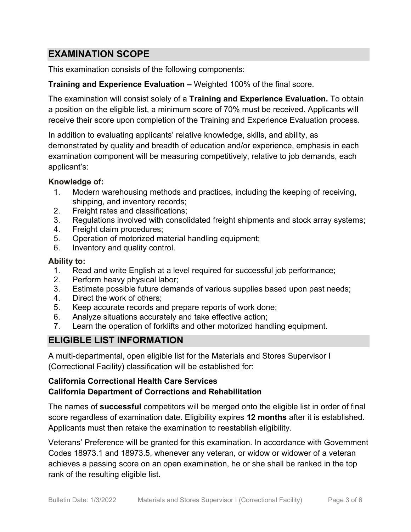## **EXAMINATION SCOPE**

This examination consists of the following components:

#### **Training and Experience Evaluation –** Weighted 100% of the final score.

The examination will consist solely of a **Training and Experience Evaluation.** To obtain a position on the eligible list, a minimum score of 70% must be received. Applicants will receive their score upon completion of the Training and Experience Evaluation process.

In addition to evaluating applicants' relative knowledge, skills, and ability, as demonstrated by quality and breadth of education and/or experience, emphasis in each examination component will be measuring competitively, relative to job demands, each applicant's:

#### **Knowledge of:**

- 1. Modern warehousing methods and practices, including the keeping of receiving, shipping, and inventory records;
- 2. Freight rates and classifications;
- 3. Regulations involved with consolidated freight shipments and stock array systems;
- 4. Freight claim procedures;
- 5. Operation of motorized material handling equipment;
- 6. Inventory and quality control.

#### **Ability to:**

- 1. Read and write English at a level required for successful job performance;
- 2. Perform heavy physical labor;
- 3. Estimate possible future demands of various supplies based upon past needs;
- 4. Direct the work of others;
- 5. Keep accurate records and prepare reports of work done;
- 6. Analyze situations accurately and take effective action;
- 7. Learn the operation of forklifts and other motorized handling equipment.

## **ELIGIBLE LIST INFORMATION**

A multi-departmental, open eligible list for the Materials and Stores Supervisor I (Correctional Facility) classification will be established for:

#### **California Correctional Health Care Services California Department of Corrections and Rehabilitation**

The names of **successful** competitors will be merged onto the eligible list in order of final score regardless of examination date. Eligibility expires **12 months** after it is established. Applicants must then retake the examination to reestablish eligibility.

Veterans' Preference will be granted for this examination. In accordance with Government Codes 18973.1 and 18973.5, whenever any veteran, or widow or widower of a veteran achieves a passing score on an open examination, he or she shall be ranked in the top rank of the resulting eligible list.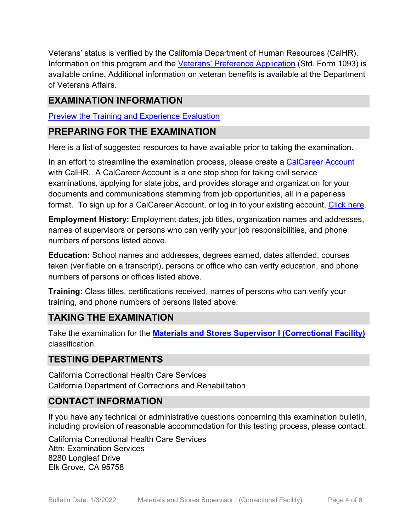Veterans' status is verified by the California Department of Human Resources (CalHR). Information on this program and the [Veterans' Preference Application](https://www.jobs.ca.gov/CalHRPublic/Landing/Jobs/VeteransInformation.aspx) (Std. Form 1093) is available online**.** Additional information on veteran benefits is available at the Department of Veterans Affairs.

## **EXAMINATION INFORMATION**

[Preview the Training and Experience Evaluation](https://cchcs.ca.gov/wp-content/uploads/sites/60/Careers/Preview-MSSI_CF-TE-Eval.pdf)

### **PREPARING FOR THE EXAMINATION**

Here is a list of suggested resources to have available prior to taking the examination.

In an effort to streamline the examination process, please create a [CalCareer Account](http://www.jobs.ca.gov/) with CalHR. A CalCareer Account is a one stop shop for taking civil service examinations, applying for state jobs, and provides storage and organization for your documents and communications stemming from job opportunities, all in a paperless format. To sign up for a CalCareer Account, or log in to your existing account, [Click here.](http://www.jobs.ca.gov/)

**Employment History:** Employment dates, job titles, organization names and addresses, names of supervisors or persons who can verify your job responsibilities, and phone numbers of persons listed above.

**Education:** School names and addresses, degrees earned, dates attended, courses taken (verifiable on a transcript), persons or office who can verify education, and phone numbers of persons or offices listed above.

**Training:** Class titles, certifications received, names of persons who can verify your training, and phone numbers of persons listed above.

## **TAKING THE EXAMINATION**

Take the examination for the **[Materials and Stores Supervisor I \(Correctional Facility\)](https://cchcs.hodesiq.com/Apply_online_1.asp?sGoBackExam1=y&ClassCode=1508&ExamID=257&ExamTitle=Materials%20and%20Stores%20Supervisor%20I%20(Correctional%20Facility))** classification.

## **TESTING DEPARTMENTS**

California Correctional Health Care Services California Department of Corrections and Rehabilitation

## **CONTACT INFORMATION**

If you have any technical or administrative questions concerning this examination bulletin, including provision of reasonable accommodation for this testing process, please contact:

California Correctional Health Care Services Attn: Examination Services 8280 Longleaf Drive Elk Grove, CA 95758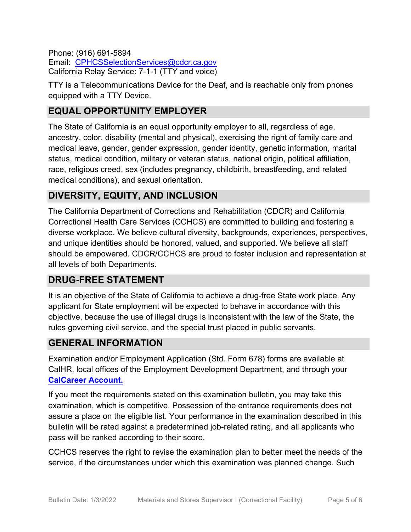Phone: (916) 691-5894 Email: [CPHCSSelectionServices@cdcr.ca.gov](mailto:CPHCSSelectionServices@cdcr.ca.gov) California Relay Service: 7-1-1 (TTY and voice)

TTY is a Telecommunications Device for the Deaf, and is reachable only from phones equipped with a TTY Device.

## **EQUAL OPPORTUNITY EMPLOYER**

The State of California is an equal opportunity employer to all, regardless of age, ancestry, color, disability (mental and physical), exercising the right of family care and medical leave, gender, gender expression, gender identity, genetic information, marital status, medical condition, military or veteran status, national origin, political affiliation, race, religious creed, sex (includes pregnancy, childbirth, breastfeeding, and related medical conditions), and sexual orientation.

## **DIVERSITY, EQUITY, AND INCLUSION**

The California Department of Corrections and Rehabilitation (CDCR) and California Correctional Health Care Services (CCHCS) are committed to building and fostering a diverse workplace. We believe cultural diversity, backgrounds, experiences, perspectives, and unique identities should be honored, valued, and supported. We believe all staff should be empowered. CDCR/CCHCS are proud to foster inclusion and representation at all levels of both Departments.

## **DRUG-FREE STATEMENT**

It is an objective of the State of California to achieve a drug-free State work place. Any applicant for State employment will be expected to behave in accordance with this objective, because the use of illegal drugs is inconsistent with the law of the State, the rules governing civil service, and the special trust placed in public servants.

## **GENERAL INFORMATION**

Examination and/or Employment Application (Std. Form 678) forms are available at CalHR, local offices of the Employment Development Department, and through your **[CalCareer Account.](http://www.jobs.ca.gov/)**

If you meet the requirements stated on this examination bulletin, you may take this examination, which is competitive. Possession of the entrance requirements does not assure a place on the eligible list. Your performance in the examination described in this bulletin will be rated against a predetermined job-related rating, and all applicants who pass will be ranked according to their score.

CCHCS reserves the right to revise the examination plan to better meet the needs of the service, if the circumstances under which this examination was planned change. Such